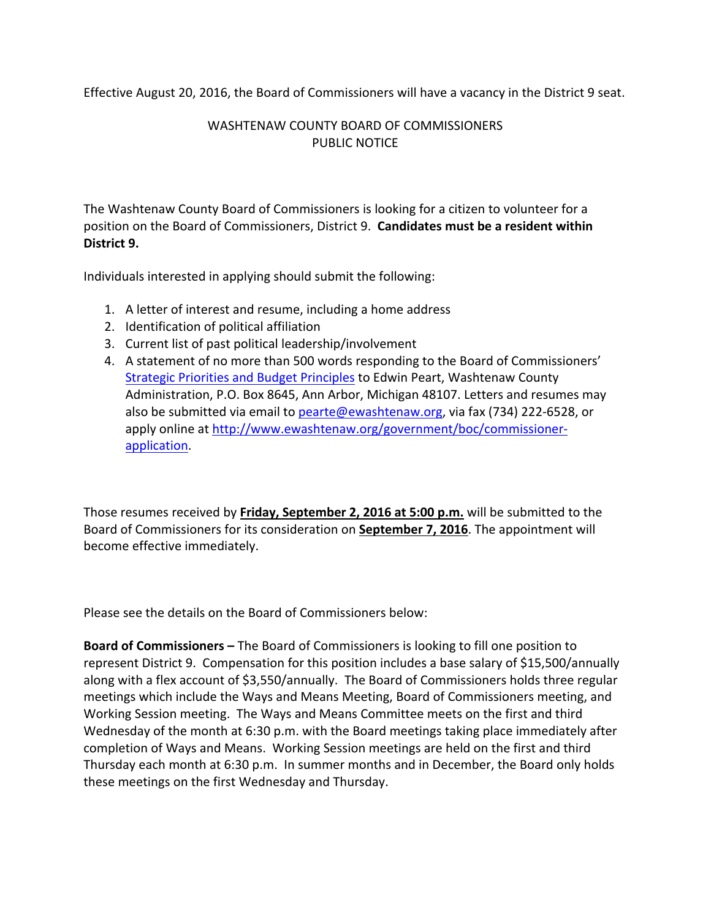Effective August 20, 2016, the Board of Commissioners will have a vacancy in the District 9 seat.

## WASHTENAW COUNTY BOARD OF COMMISSIONERS PUBLIC NOTICE

The Washtenaw County Board of Commissioners is looking for a citizen to volunteer for a position on the Board of Commissioners, District 9. **Candidates must be a resident within District 9.**

Individuals interested in applying should submit the following:

- 1. A letter of interest and resume, including a home address
- 2. Identification of political affiliation
- 3. Current list of past political leadership/involvement
- 4. A statement of no more than 500 words responding to the Board of Commissioners' Strategic Priorities and Budget Principles to Edwin Peart, Washtenaw County Administration, P.O. Box 8645, Ann Arbor, Michigan 48107. Letters and resumes may also be submitted via email to pearte@ewashtenaw.org, via fax (734) 222‐6528, or apply online at http://www.ewashtenaw.org/government/boc/commissionerapplication.

Those resumes received by **Friday, September 2, 2016 at 5:00 p.m.** will be submitted to the Board of Commissioners for its consideration on **September 7, 2016**. The appointment will become effective immediately.

Please see the details on the Board of Commissioners below:

**Board of Commissioners –** The Board of Commissioners is looking to fill one position to represent District 9. Compensation for this position includes a base salary of \$15,500/annually along with a flex account of \$3,550/annually. The Board of Commissioners holds three regular meetings which include the Ways and Means Meeting, Board of Commissioners meeting, and Working Session meeting. The Ways and Means Committee meets on the first and third Wednesday of the month at 6:30 p.m. with the Board meetings taking place immediately after completion of Ways and Means. Working Session meetings are held on the first and third Thursday each month at 6:30 p.m. In summer months and in December, the Board only holds these meetings on the first Wednesday and Thursday.